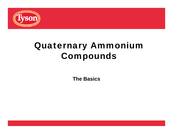

# Quaternary Ammonium Compounds

**The Basics**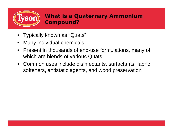

- Typically known as "Quats"
- $\bullet$ Many individual chemicals
- Present in thousands of end-use formulations, many of which are blends of various Quats
- Common uses include disinfectants, surfactants, fabric softeners, antistatic agents, and wood preservation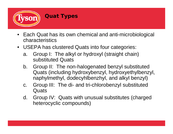

### **Quat Types**

- Each Quat has its own chemical and anti-microbiological characteristics
- USEPA has clustered Quats into four categories:
	- a. Group I: The alkyl or hydroxyl (straight chain) substituted Quats
	- b. Group II: The non-halogenated benzyl substituted Quats (including hydroxybenzyl, hydroxyethylbenzyl, naphylmethyl, dodecyhlbenzhyl, and alkyl benzyl)
	- c. Group III: The di- and tri-chlorobenzyl substituted **Quats**
	- d. Group IV: Quats with unusual substitutes (charged heterocyclic compounds)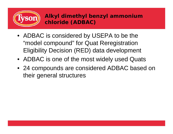

- ADBAC is considered by USEPA to be the "model compound" for Quat Reregistration Eligibility Decision (RED) data development
- ADBAC is one of the most widely used Quats
- 24 compounds are considered ADBAC based on their general structures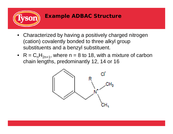

#### **Example ADBAC Structure**

- Characterized by having a positively charged nitrogen (cation) covalently bonded to three alkyl group substituents and a benzyl substituent.
- $R = C_n H_{2n+1}$ , where  $n = 8$  to 18, with a mixture of carbon chain lengths, predominantly 12, 14 or 16

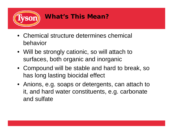

# **What's This Mean?**

- Chemical structure determines chemical behavior
- Will be strongly cationic, so will attach to surfaces, both organic and inorganic
- Compound will be stable and hard to break, so has long lasting biocidal effect
- Anions, e.g. soaps or detergents, can attach to it, and hard water constituents, e.g. carbonate and sulfate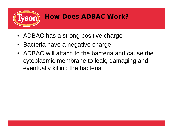

## **How Does ADBAC Work?**

- ADBAC has a strong positive charge
- •Bacteria have a negative charge
- ADBAC will attach to the bacteria and cause the cytoplasmic membrane to leak, damaging and eventually killing the bacteria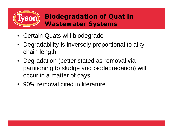

## **Biodegradation of Quat in Wastewater Systems**

- Certain Quats will biodegrade
- • Degradability is inversely proportional to alkyl chain length
- Degradation (better stated as removal via partitioning to sludge and biodegradation) will occur in a matter of days
- 90% removal cited in literature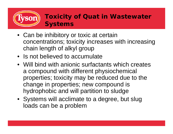

## **Toxicity of Quat in Wastewater Systems**

- Can be inhibitory or toxic at certain concentrations; toxicity increases with increasing chain length of alkyl group
- Is not believed to accumulate
- Will bind with anionic surfactants which creates a compound with different physiochemical properties; toxicity may be reduced due to the change in properties; new compound is hydrophobic and will partition to sludge
- Systems will acclimate to a degree, but slug loads can be a problem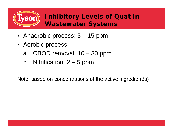

## **Inhibitory Levels of Quat in Wastewater Systems**

- Anaerobic process: 5 15 ppm
- Aerobic process
	- a. CBOD removal: 10 30 ppm
	- b. Nitrification:  $2 5$  ppm

Note: based on concentrations of the active ingredient(s)